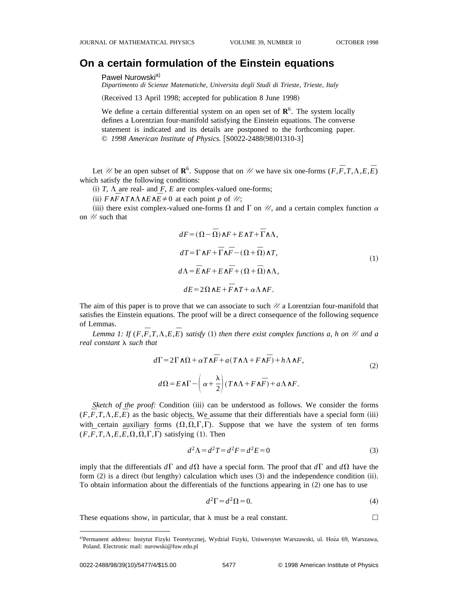## **On a certain formulation of the Einstein equations**

## Paweł Nurowski<sup>a)</sup>

*Dipartimento di Scienze Matematiche, Universita degli Studi di Trieste, Trieste, Italy*

(Received 13 April 1998; accepted for publication 8 June 1998)

We define a certain differential system on an open set of  $\mathbb{R}^6$ . The system locally defines a Lorentzian four-manifold satisfying the Einstein equations. The converse statement is indicated and its details are postponed to the forthcoming paper. © 1998 American Institute of Physics. [S0022-2488(98)01310-3]

Let *U* be an open subset of  $\mathbb{R}^6$ . Suppose that on *U* we have six one-forms  $(F, \overline{F}, T, \Lambda, E, \overline{E})$ which satisfy the following conditions:

(i)  $T$ ,  $\Lambda$  are real- and  $F$ ,  $E$  are complex-valued one-forms;

 $(i)$  *F* ∧*F* ∧*T*∧ $\Lambda$ ∧*E* ∧ $\overline{E}$  ≠ 0 at each point *p* of *U*;

(iii) there exist complex-valued one-forms  $\Omega$  and  $\Gamma$  on  $\mathcal{U}$ , and a certain complex function  $\alpha$ on  $\mathscr U$  such that

$$
dF = (\Omega - \overline{\Omega}) \wedge F + E \wedge T + \overline{\Gamma} \wedge \Lambda,
$$
  
\n
$$
dT = \Gamma \wedge F + \overline{\Gamma} \wedge \overline{F} - (\Omega + \overline{\Omega}) \wedge T,
$$
  
\n
$$
d\Lambda = \overline{E} \wedge F + E \wedge \overline{F} + (\Omega + \overline{\Omega}) \wedge \Lambda,
$$
  
\n
$$
dE = 2\Omega \wedge E + \overline{F} \wedge T + \alpha \Lambda \wedge F.
$$
\n(1)

The aim of this paper is to prove that we can associate to such *U* a Lorentzian four-manifold that satisfies the Einstein equations. The proof will be a direct consequence of the following sequence of Lemmas.

*Lemma 1: If*  $(F, \overline{F}, T, \Lambda, E, \overline{E})$  *satisfy* (1) *then there exist complex functions a, h on*  $\mathcal U$  *and a real constant*  $\lambda$  *such that* 

$$
d\Gamma = 2\Gamma \wedge \Omega + \alpha T \wedge \overline{F} + a(T \wedge \Lambda + F \wedge \overline{F}) + h\Lambda \wedge F,
$$
  
\n
$$
d\Omega = E \wedge \Gamma - \left(\alpha + \frac{\lambda}{2}\right) (T \wedge \Lambda + F \wedge \overline{F}) + a\Lambda \wedge F.
$$
\n(2)

*Sketch of the proof:* Condition (iii) can be understood as follows. We consider the forms  $(F, \overline{F}, T, \Lambda, E, \overline{E})$  as the basic objects. We assume that their differentials have a special form (iii) with certain auxiliary forms  $(\Omega, \overline{\Omega}, \Gamma, \overline{\Gamma})$ . Suppose that we have the system of ten forms  $(F, \overline{F}, T, \Lambda, E, \overline{E}, \Omega, \overline{\Omega}, \Gamma, \overline{\Gamma})$  satisfying (1). Then

$$
d^2\Lambda = d^2T = d^2F = d^2E = 0\tag{3}
$$

imply that the differentials  $d\Gamma$  and  $d\Omega$  have a special form. The proof that  $d\Gamma$  and  $d\Omega$  have the form  $(2)$  is a direct (but lengthy) calculation which uses  $(3)$  and the independence condition  $(ii)$ . To obtain information about the differentials of the functions appearing in  $(2)$  one has to use

$$
d^2\Gamma = d^2\Omega = 0.\tag{4}
$$

These equations show, in particular, that  $\lambda$  must be a real constant.

a)Permanent address: Instytut Fizyki Teoretycznej, Wydzial Fizyki, Uniwersytet Warszawski, ul. Hoza 69, Warszawa, Poland. Electronic mail: nurowski@fuw.edu.pl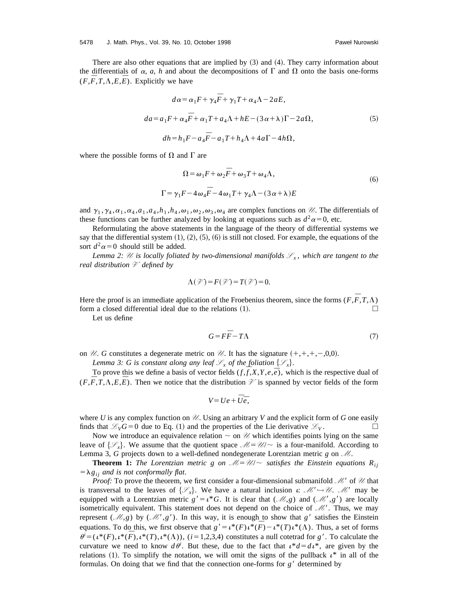There are also other equations that are implied by  $(3)$  and  $(4)$ . They carry information about the differentials of  $\alpha$ ,  $a$ ,  $h$  and about the decompositions of  $\Gamma$  and  $\Omega$  onto the basis one-forms  $(F, \overline{F}, T, \Lambda, E, \overline{E})$ . Explicitly we have

$$
d\alpha = \alpha_1 F + \gamma_4 \overline{F} + \gamma_1 T + \alpha_4 \Lambda - 2aE,
$$
  
\n
$$
da = a_1 F + \alpha_4 \overline{F} + \alpha_1 T + a_4 \Lambda + hE - (3\alpha + \lambda)\Gamma - 2a\Omega,
$$
  
\n
$$
dh = h_1 F - a_4 \overline{F} - a_1 T + h_4 \Lambda + 4a\Gamma - 4h\Omega,
$$
\n(5)

where the possible forms of  $\Omega$  and  $\Gamma$  are

$$
\Omega = \omega_1 F + \omega_2 \overline{F} + \omega_3 T + \omega_4 \Lambda,
$$
  

$$
\Gamma = \gamma_1 F - 4 \omega_4 \overline{F} - 4 \omega_1 T + \gamma_4 \Lambda - (3 \alpha + \lambda) E
$$
 (6)

and  $\gamma_1, \gamma_4, \alpha_1, \alpha_4, a_1, a_4, h_1, h_4, \omega_1, \omega_2, \omega_3, \omega_4$  are complex functions on *U*. The differentials of these functions can be further analyzed by looking at equations such as  $d^2\alpha=0$ , etc.

Reformulating the above statements in the language of the theory of differential systems we say that the differential system  $(1), (2), (5), (6)$  is still not closed. For example, the equations of the sort  $d^2\alpha=0$  should still be added.

*Lemma 2:*  $\mathcal{U}$  *is locally foliated by two-dimensional manifolds*  $\mathcal{S}_x$ , which are tangent to the *real distribution V defined by*

$$
\Lambda(\mathcal{V}) = F(\mathcal{V}) = T(\mathcal{V}) = 0.
$$

Here the proof is an immediate application of the Froebenius theorem, since the forms ( $F, \overline{F}, T, \Lambda$ ) form a closed differential ideal due to the relations  $(1)$ .

Let us define

$$
G = F\bar{F} - T\Lambda\tag{7}
$$

on *U. G* constitutes a degenerate metric on *U.* It has the signature  $(+,+,+,-,0,0)$ .

*Lemma 3: G is constant along any leaf*  $\mathcal{S}_x$  *of the foliation*  $\{\mathcal{S}_x\}$ *.* 

To prove this we define a basis of vector fields  $(f, \overline{f}, X, Y, e, \overline{e})$ , which is the respective dual of ( $F, \overline{F}, T, \Lambda, E, \overline{E}$ ). Then we notice that the distribution  $\mathcal{V}$  is spanned by vector fields of the form

$$
V = Ue + \overline{U}\overline{e},
$$

where *U* is any complex function on *U*. Using an arbitrary *V* and the explicit form of *G* one easily finds that  $\mathcal{L}_V G = 0$  due to Eq. (1) and the properties of the Lie derivative  $\mathcal{L}_V$ .

Now we introduce an equivalence relation  $\sim$  on  $\mathcal U$  which identifies points lying on the same leave of  $\{\mathcal{S}_x\}$ . We assume that the quotient space  $\mathcal{M}=\mathcal{U}/\sim$  is a four-manifold. According to Lemma 3, *G* projects down to a well-defined nondegenerate Lorentzian metric *g* on *M*.

**Theorem 1:** The Lorentzian metric g on  $\mathcal{M} = \mathcal{U} \setminus \mathcal{U}$  satisfies the Einstein equations  $R_{ij}$  $=\lambda g_{ij}$  *and is not conformally flat.* 

*Proof:* To prove the theorem, we first consider a four-dimensional submanifold *M*<sup>8</sup> of *U* that is transversal to the leaves of  $\{\mathcal{S}_x\}$ . We have a natural inclusion i: M' $\rightarrow \mathcal{U}$ . M' may be equipped with a Lorentzian metric  $g' = \iota^* G$ . It is clear that  $(\mathcal{M}, g)$  and  $(\mathcal{M}', g')$  are locally isometrically equivalent. This statement does not depend on the choice of *M*8. Thus, we may represent ( $\mathcal{M}, g$ ) by ( $\mathcal{M}', g'$ ). In this way, it is enough to show that *g'* satisfies the Einstein equations. To do this, we first observe that  $g' = \iota^*(F)\iota^*(\overline{F}) - \iota^*(T)\iota^*(\Lambda)$ . Thus, a set of forms  $\theta^i = (\iota^*(F), \iota^*(F), \iota^*(T), \iota^*(\Lambda))$ ,  $(i = 1, 2, 3, 4)$  constitutes a null cotetrad for *g*<sup>8</sup>. To calculate the curvature we need to know  $d\theta^i$ . But these, due to the fact that  $\iota^*d = d\iota^*$ , are given by the relations (1). To simplify the notation, we will omit the signs of the pullback  $\iota^*$  in all of the formulas. On doing that we find that the connection one-forms for  $g'$  determined by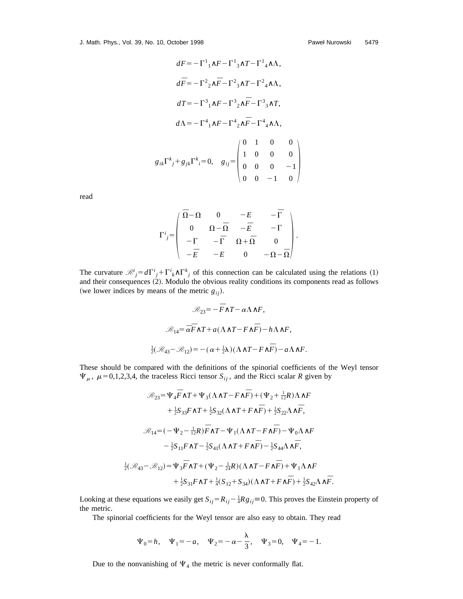J. Math. Phys., Vol. 39, No. 10, October 1998

$$
dF = -\Gamma^{1}{}_{1}\wedge F - \Gamma^{1}{}_{3}\wedge T - \Gamma^{1}{}_{4}\wedge \Lambda,
$$
  
\n
$$
d\bar{F} = -\Gamma^{2}{}_{2}\wedge \bar{F} - \Gamma^{2}{}_{3}\wedge T - \Gamma^{2}{}_{4}\wedge \Lambda,
$$
  
\n
$$
dT = -\Gamma^{3}{}_{1}\wedge F - \Gamma^{3}{}_{2}\wedge \bar{F} - \Gamma^{3}{}_{3}\wedge T,
$$
  
\n
$$
d\Lambda = -\Gamma^{4}{}_{1}\wedge F - \Gamma^{4}{}_{2}\wedge \bar{F} - \Gamma^{4}{}_{4}\wedge \Lambda,
$$
  
\n
$$
g_{ik}\Gamma^{k}{}_{j} + g_{jk}\Gamma^{k}{}_{i} = 0, \quad g_{ij} = \begin{pmatrix} 0 & 1 & 0 & 0 \\ 1 & 0 & 0 & 0 \\ 0 & 0 & 0 & -1 \\ 0 & 0 & -1 & 0 \end{pmatrix}
$$

read

$$
\Gamma^i{}_j {=} \left( \begin{array}{cccc} \bar{\Omega}{-}\Omega & 0 & -E & -\bar{\Gamma} \\ 0 & \Omega{-}\bar{\Omega} & -\bar{E} & -\Gamma \\ -\Gamma & -\bar{\Gamma} & \Omega{+}\bar{\Omega} & 0 \\ -\bar{E} & -E & 0 & -\Omega{-}\bar{\Omega} \end{array} \right).
$$

The curvature  $\mathcal{R}^i_j = d\Gamma^i{}_j + \Gamma^i{}_k \wedge \Gamma^k{}_j$  of this connection can be calculated using the relations (1) and their consequences  $(2)$ . Modulo the obvious reality conditions its components read as follows (we lower indices by means of the metric  $g_{ij}$ ).

$$
\mathcal{R}_{23} = -\overline{F}\wedge T - \alpha \Lambda \wedge F,
$$
  

$$
\mathcal{R}_{14} = \overline{\alpha}\overline{F}\wedge T + a(\Lambda \wedge T - F\wedge \overline{F}) - h\Lambda \wedge F,
$$
  

$$
\frac{1}{2}(\mathcal{R}_{43} - \mathcal{R}_{12}) = -(\alpha + \frac{1}{2}\lambda)(\Lambda \wedge T - F\wedge \overline{F}) - a\Lambda \wedge F.
$$

These should be compared with the definitions of the spinorial coefficients of the Weyl tensor  $\Psi_{\mu}$ ,  $\mu$ =0,1,2,3,4, the traceless Ricci tensor  $S_{ij}$ , and the Ricci scalar *R* given by

$$
\mathcal{R}_{23} = \Psi_4 \overline{F} \wedge T + \Psi_3 (\Lambda \wedge T - F \wedge \overline{F}) + (\Psi_2 + \frac{1}{12}R) \Lambda \wedge F \n+ \frac{1}{2} S_{33} F \wedge T + \frac{1}{2} S_{32} (\Lambda \wedge T + F \wedge \overline{F}) + \frac{1}{2} S_{22} \Lambda \wedge \overline{F}, \n\mathcal{R}_{14} = (-\Psi_2 - \frac{1}{12}R) \overline{F} \wedge T - \Psi_1 (\Lambda \wedge T - F \wedge \overline{F}) - \Psi_0 \Lambda \wedge F \n- \frac{1}{2} S_{11} F \wedge T - \frac{1}{2} S_{41} (\Lambda \wedge T + F \wedge \overline{F}) - \frac{1}{2} S_{44} \Lambda \wedge \overline{F}, \n\frac{1}{2} (\mathcal{R}_{43} - \mathcal{R}_{12}) = \Psi_3 \overline{F} \wedge T + (\Psi_2 - \frac{1}{24}R) (\Lambda \wedge T - F \wedge \overline{F}) + \Psi_1 \Lambda \wedge F \n+ \frac{1}{2} S_{31} F \wedge T + \frac{1}{4} (S_{12} + S_{34}) (\Lambda \wedge T + F \wedge \overline{F}) + \frac{1}{2} S_{42} \Lambda \wedge \overline{F}.
$$

Looking at these equations we easily get  $S_{ij} = R_{ij} - \frac{1}{4}Rg_{ij} \equiv 0$ . This proves the Einstein property of the metric.

The spinorial coefficients for the Weyl tensor are also easy to obtain. They read

$$
\Psi_0 = h, \quad \Psi_1 = -a, \quad \Psi_2 = -\alpha - \frac{\lambda}{3}, \quad \Psi_3 = 0, \quad \Psi_4 = -1.
$$

Due to the nonvanishing of  $\Psi_4$  the metric is never conformally flat.